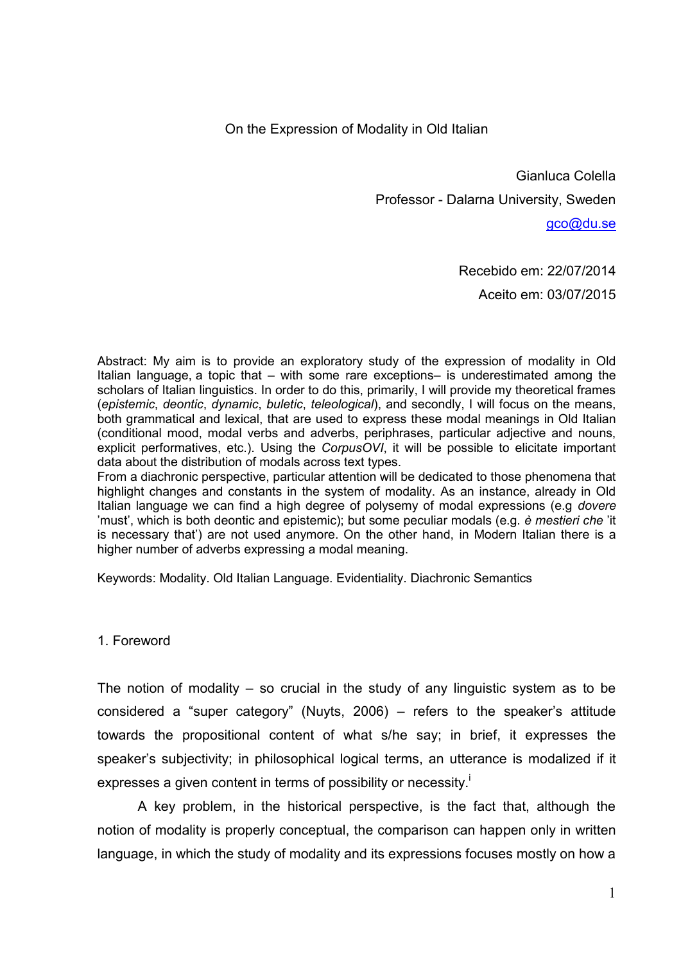On the Expression of Modality in Old Italian

Gianluca Colella Professor - Dalarna University, Sweden

[gco@du.se](mailto:gco@du.se)

Recebido em: 22/07/2014 Aceito em: 03/07/2015

Abstract: My aim is to provide an exploratory study of the expression of modality in Old Italian language, a topic that – with some rare exceptions– is underestimated among the scholars of Italian linguistics. In order to do this, primarily, I will provide my theoretical frames (*epistemic*, *deontic*, *dynamic*, *buletic*, *teleological*), and secondly, I will focus on the means, both grammatical and lexical, that are used to express these modal meanings in Old Italian (conditional mood, modal verbs and adverbs, periphrases, particular adjective and nouns, explicit performatives, etc.). Using the *CorpusOVI*, it will be possible to elicitate important data about the distribution of modals across text types.

From a diachronic perspective, particular attention will be dedicated to those phenomena that highlight changes and constants in the system of modality. As an instance, already in Old Italian language we can find a high degree of polysemy of modal expressions (e.g *dovere*  'must', which is both deontic and epistemic); but some peculiar modals (e.g. *è mestieri che* 'it is necessary that') are not used anymore. On the other hand, in Modern Italian there is a higher number of adverbs expressing a modal meaning.

Keywords: Modality. Old Italian Language. Evidentiality. Diachronic Semantics

1. Foreword

The notion of modality  $-$  so crucial in the study of any linguistic system as to be considered a "super category" (Nuyts, 2006) – refers to the speaker's attitude towards the propositional content of what s/he say; in brief, it expresses the speaker's subjectivity; in philosophical logical terms, an utterance is modalized if it expresses a given content in terms of possibility or necessity.<sup>1</sup>

A key problem, in the historical perspective, is the fact that, although the notion of modality is properly conceptual, the comparison can happen only in written language, in which the study of modality and its expressions focuses mostly on how a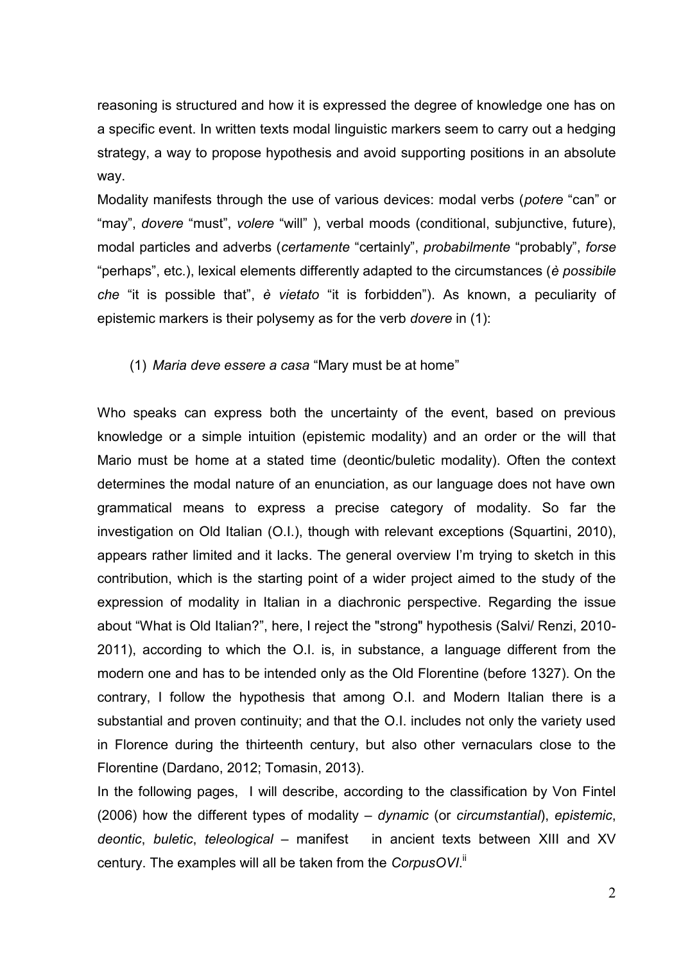reasoning is structured and how it is expressed the degree of knowledge one has on a specific event. In written texts modal linguistic markers seem to carry out a hedging strategy, a way to propose hypothesis and avoid supporting positions in an absolute way.

Modality manifests through the use of various devices: modal verbs (*potere* "can" or "may", *dovere* "must", *volere* "will" ), verbal moods (conditional, subjunctive, future), modal particles and adverbs (*certamente* "certainly", *probabilmente* "probably", *forse* "perhaps", etc.), lexical elements differently adapted to the circumstances (*è possibile che* "it is possible that", *è vietato* "it is forbidden"). As known, a peculiarity of epistemic markers is their polysemy as for the verb *dovere* in (1):

### (1) *Maria deve essere a casa* "Mary must be at home"

Who speaks can express both the uncertainty of the event, based on previous knowledge or a simple intuition (epistemic modality) and an order or the will that Mario must be home at a stated time (deontic/buletic modality). Often the context determines the modal nature of an enunciation, as our language does not have own grammatical means to express a precise category of modality. So far the investigation on Old Italian (O.I.), though with relevant exceptions (Squartini, 2010), appears rather limited and it lacks. The general overview I'm trying to sketch in this contribution, which is the starting point of a wider project aimed to the study of the expression of modality in Italian in a diachronic perspective. Regarding the issue about "What is Old Italian?", here, I reject the "strong" hypothesis (Salvi/ Renzi, 2010- 2011), according to which the O.I. is, in substance, a language different from the modern one and has to be intended only as the Old Florentine (before 1327). On the contrary, I follow the hypothesis that among O.I. and Modern Italian there is a substantial and proven continuity; and that the O.I. includes not only the variety used in Florence during the thirteenth century, but also other vernaculars close to the Florentine (Dardano, 2012; Tomasin, 2013).

In the following pages, I will describe, according to the classification by Von Fintel (2006) how the different types of modality – *dynamic* (or *circumstantial*), *epistemic*, *deontic*, *buletic*, *teleological* – manifest in ancient texts between XIII and XV century. The examples will all be taken from the *CorpusOVI*.<sup>"</sup>

2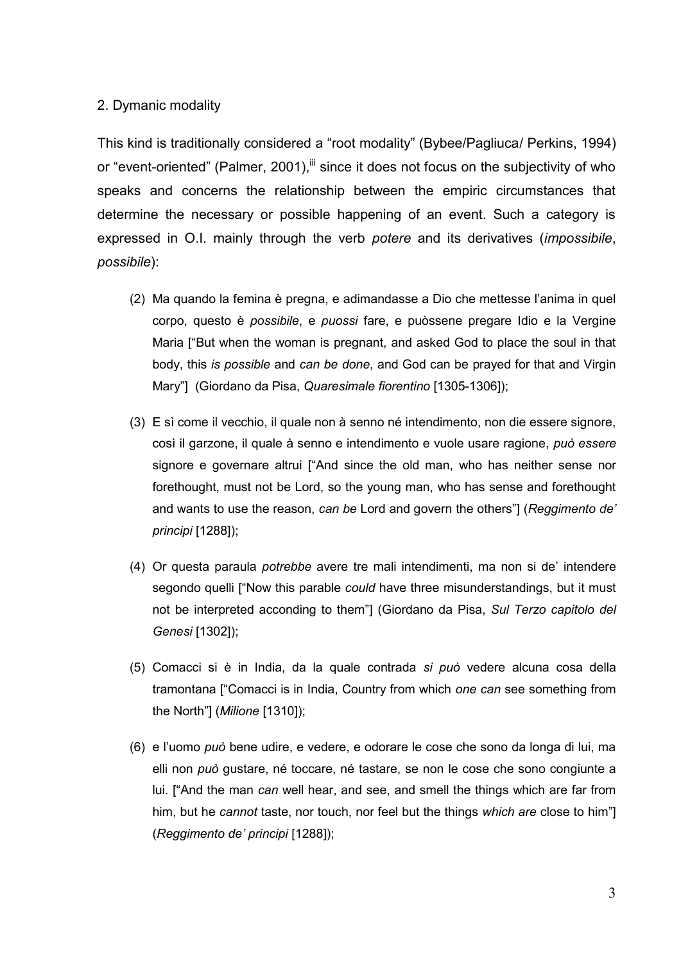### 2. Dymanic modality

This kind is traditionally considered a "root modality" (Bybee/Pagliuca/ Perkins, 1994) or "event-oriented" (Palmer, 2001),<sup>iii</sup> since it does not focus on the subjectivity of who speaks and concerns the relationship between the empiric circumstances that determine the necessary or possible happening of an event. Such a category is expressed in O.I. mainly through the verb *potere* and its derivatives (*impossibile*, *possibile*):

- (2) Ma quando la femina è pregna, e adimandasse a Dio che mettesse l'anima in quel corpo, questo è *possibile*, e *puossi* fare, e puòssene pregare Idio e la Vergine Maria ["But when the woman is pregnant, and asked God to place the soul in that body, this *is possible* and *can be done*, and God can be prayed for that and Virgin Mary"] (Giordano da Pisa, *Quaresimale fiorentino* [1305-1306]);
- (3) E sì come il vecchio, il quale non à senno né intendimento, non die essere signore, così il garzone, il quale à senno e intendimento e vuole usare ragione, *può essere*  signore e governare altrui ["And since the old man, who has neither sense nor forethought, must not be Lord, so the young man, who has sense and forethought and wants to use the reason, *can be* Lord and govern the others"] (*Reggimento de' principi* [1288]);
- (4) Or questa paraula *potrebbe* avere tre mali intendimenti, ma non si de' intendere segondo quelli ["Now this parable *could* have three misunderstandings, but it must not be interpreted acconding to them"] (Giordano da Pisa, *Sul Terzo capitolo del Genesi* [1302]);
- (5) Comacci si è in India, da la quale contrada *si può* vedere alcuna cosa della tramontana ["Comacci is in India, Country from which *one can* see something from the North"] (*Milione* [1310]);
- (6) e l'uomo *può* bene udire, e vedere, e odorare le cose che sono da longa di lui, ma elli non *può* gustare, né toccare, né tastare, se non le cose che sono congiunte a lui. ["And the man *can* well hear, and see, and smell the things which are far from him, but he *cannot* taste, nor touch, nor feel but the things *which are* close to him"] (*Reggimento de' principi* [1288]);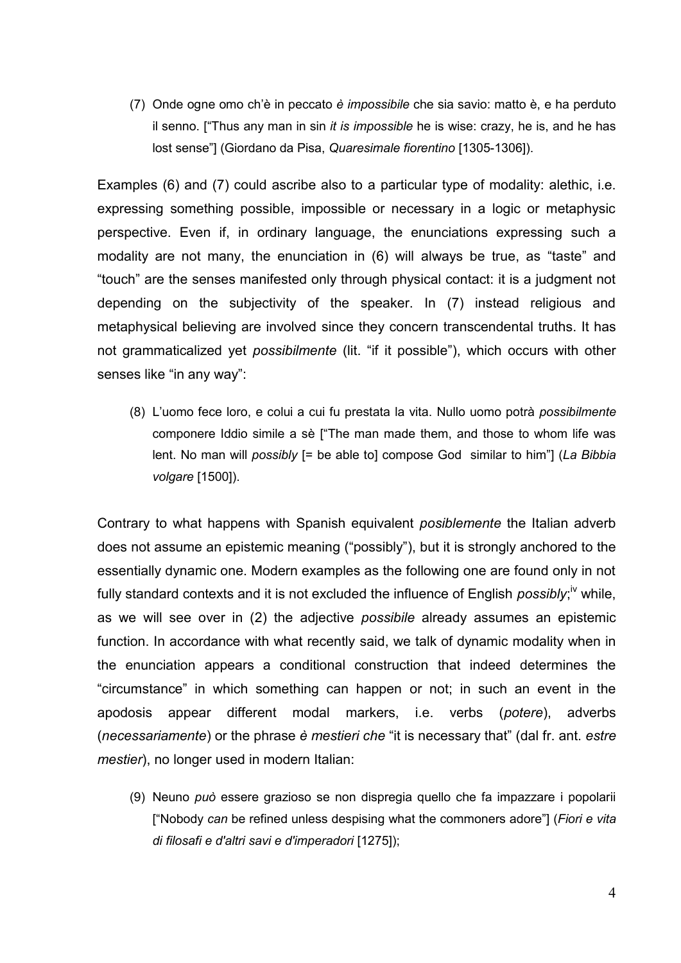(7) Onde ogne omo ch'è in peccato *è impossibile* che sia savio: matto è, e ha perduto il senno. ["Thus any man in sin *it is impossible* he is wise: crazy, he is, and he has lost sense"] (Giordano da Pisa, *Quaresimale fiorentino* [1305-1306]).

Examples (6) and (7) could ascribe also to a particular type of modality: alethic, i.e. expressing something possible, impossible or necessary in a logic or metaphysic perspective. Even if, in ordinary language, the enunciations expressing such a modality are not many, the enunciation in (6) will always be true, as "taste" and "touch" are the senses manifested only through physical contact: it is a judgment not depending on the subjectivity of the speaker. In (7) instead religious and metaphysical believing are involved since they concern transcendental truths. It has not grammaticalized yet *possibilmente* (lit. "if it possible"), which occurs with other senses like "in any way":

(8) L'uomo fece loro, e colui a cui fu prestata la vita. Nullo uomo potrà *possibilmente* componere Iddio simile a sè ["The man made them, and those to whom life was lent. No man will *possibly* [= be able to] compose God similar to him"] (*La Bibbia volgare* [1500]).

Contrary to what happens with Spanish equivalent *posiblemente* the Italian adverb does not assume an epistemic meaning ("possibly"), but it is strongly anchored to the essentially dynamic one. Modern examples as the following one are found only in not fully standard contexts and it is not excluded the influence of English *possibly*;<sup>iv</sup> while, as we will see over in (2) the adjective *possibile* already assumes an epistemic function. In accordance with what recently said, we talk of dynamic modality when in the enunciation appears a conditional construction that indeed determines the "circumstance" in which something can happen or not; in such an event in the apodosis appear different modal markers, i.e. verbs (*potere*), adverbs (*necessariamente*) or the phrase *è mestieri che* "it is necessary that" (dal fr. ant. *estre mestier*), no longer used in modern Italian:

(9) Neuno *può* essere grazioso se non dispregia quello che fa impazzare i popolarii ["Nobody *can* be refined unless despising what the commoners adore"] (*Fiori e vita di filosafi e d'altri savi e d'imperadori* [1275]);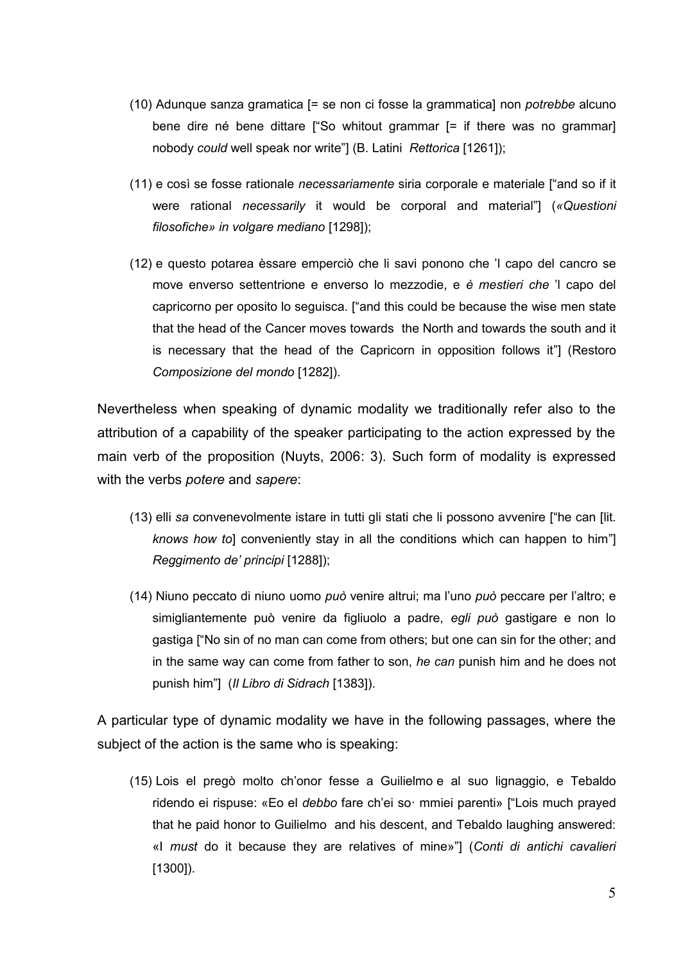- (10) Adunque sanza gramatica [= se non ci fosse la grammatica] non *potrebbe* alcuno bene dire né bene dittare ["So whitout grammar [= if there was no grammar] nobody *could* well speak nor write"] (B. Latini *Rettorica* [1261]);
- (11) e così se fosse rationale *necessariamente* siria corporale e materiale ["and so if it were rational *necessarily* it would be corporal and material"] (*«Questioni filosofiche» in volgare mediano* [1298]);
- (12) e questo potarea èssare emperciò che li savi ponono che 'l capo del cancro se move enverso settentrione e enverso lo mezzodie, e *è mestieri che* 'l capo del capricorno per oposito lo seguisca. ["and this could be because the wise men state that the head of the Cancer moves towards the North and towards the south and it is necessary that the head of the Capricorn in opposition follows it"] (Restoro *Composizione del mondo* [1282]).

Nevertheless when speaking of dynamic modality we traditionally refer also to the attribution of a capability of the speaker participating to the action expressed by the main verb of the proposition (Nuyts, 2006: 3). Such form of modality is expressed with the verbs *potere* and *sapere*:

- (13) elli *sa* convenevolmente istare in tutti gli stati che li possono avvenire ["he can [lit. *knows how to*] conveniently stay in all the conditions which can happen to him"] *Reggimento de' principi* [1288]);
- (14) Niuno peccato di niuno uomo *può* venire altrui; ma l'uno *può* peccare per l'altro; e simigliantemente può venire da figliuolo a padre, *egli può* gastigare e non lo gastiga ["No sin of no man can come from others; but one can sin for the other; and in the same way can come from father to son, *he can* punish him and he does not punish him"] (*Il Libro di Sidrach* [1383]).

A particular type of dynamic modality we have in the following passages, where the subject of the action is the same who is speaking:

(15) Lois el pregò molto ch'onor fesse a Guilielmo e al suo lignaggio, e Tebaldo ridendo ei rispuse: «Eo el *debbo* fare ch'ei so· mmiei parenti» ["Lois much prayed that he paid honor to Guilielmo and his descent, and Tebaldo laughing answered: «I *must* do it because they are relatives of mine»"] (*Conti di antichi cavalieri*  [1300]).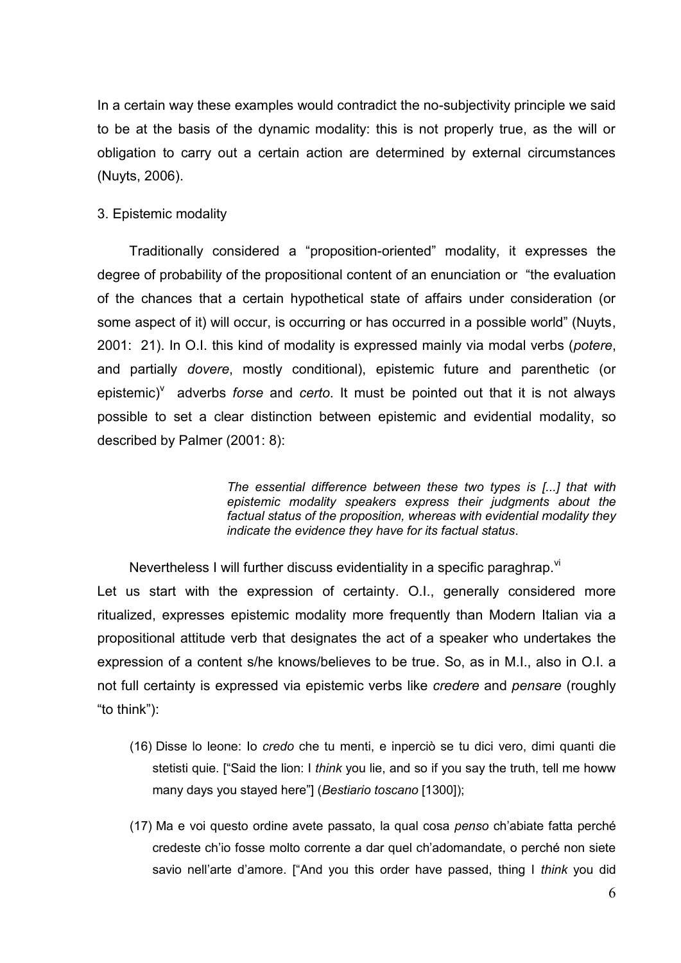In a certain way these examples would contradict the no-subjectivity principle we said to be at the basis of the dynamic modality: this is not properly true, as the will or obligation to carry out a certain action are determined by external circumstances (Nuyts, 2006).

## 3. Epistemic modality

Traditionally considered a "proposition-oriented" modality, it expresses the degree of probability of the propositional content of an enunciation or "the evaluation of the chances that a certain hypothetical state of affairs under consideration (or some aspect of it) will occur, is occurring or has occurred in a possible world" (Nuyts, 2001: 21). In O.I. this kind of modality is expressed mainly via modal verbs (*potere*, and partially *dovere*, mostly conditional), epistemic future and parenthetic (or epistemic)<sup>V</sup> adverbs *forse* and *certo*. It must be pointed out that it is not always possible to set a clear distinction between epistemic and evidential modality, so described by Palmer (2001: 8):

> *The essential difference between these two types is [...] that with epistemic modality speakers express their judgments about the factual status of the proposition, whereas with evidential modality they indicate the evidence they have for its factual status*.

Nevertheless I will further discuss evidentiality in a specific paraghrap. <sup>VI</sup>

Let us start with the expression of certainty. O.I., generally considered more ritualized, expresses epistemic modality more frequently than Modern Italian via a propositional attitude verb that designates the act of a speaker who undertakes the expression of a content s/he knows/believes to be true. So, as in M.I., also in O.I. a not full certainty is expressed via epistemic verbs like *credere* and *pensare* (roughly "to think"):

- (16) Disse lo leone: Io *credo* che tu menti, e inperciò se tu dici vero, dimi quanti die stetisti quie. ["Said the lion: I *think* you lie, and so if you say the truth, tell me howw many days you stayed here"] (*Bestiario toscano* [1300]);
- (17) Ma e voi questo ordine avete passato, la qual cosa *penso* ch'abiate fatta perché credeste ch'io fosse molto corrente a dar quel ch'adomandate, o perché non siete savio nell'arte d'amore. ["And you this order have passed, thing I *think* you did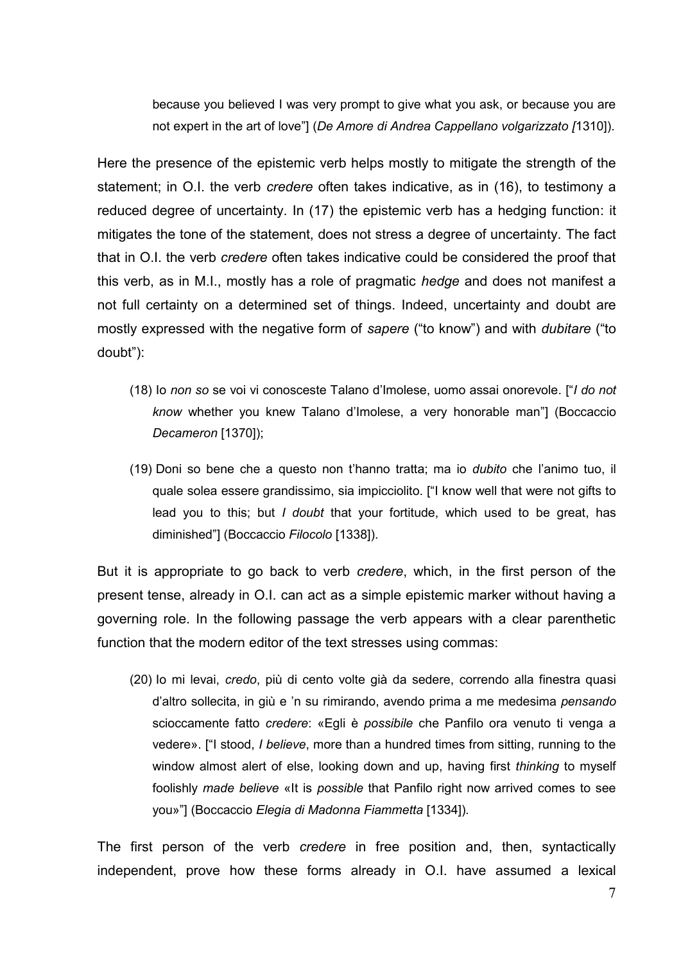because you believed I was very prompt to give what you ask, or because you are not expert in the art of love"] (*De Amore di Andrea Cappellano volgarizzato [*1310]).

Here the presence of the epistemic verb helps mostly to mitigate the strength of the statement; in O.I. the verb *credere* often takes indicative, as in (16), to testimony a reduced degree of uncertainty. In (17) the epistemic verb has a hedging function: it mitigates the tone of the statement, does not stress a degree of uncertainty. The fact that in O.I. the verb *credere* often takes indicative could be considered the proof that this verb, as in M.I., mostly has a role of pragmatic *hedge* and does not manifest a not full certainty on a determined set of things. Indeed, uncertainty and doubt are mostly expressed with the negative form of *sapere* ("to know") and with *dubitare* ("to doubt"):

- (18) Io *non so* se voi vi conosceste Talano d'Imolese, uomo assai onorevole. ["*I do not know* whether you knew Talano d'Imolese, a very honorable man"] (Boccaccio *Decameron* [1370]);
- (19) Doni so bene che a questo non t'hanno tratta; ma io *dubito* che l'animo tuo, il quale solea essere grandissimo, sia impicciolito. ["I know well that were not gifts to lead you to this; but *I doubt* that your fortitude, which used to be great, has diminished"] (Boccaccio *Filocolo* [1338]).

But it is appropriate to go back to verb *credere*, which, in the first person of the present tense, already in O.I. can act as a simple epistemic marker without having a governing role. In the following passage the verb appears with a clear parenthetic function that the modern editor of the text stresses using commas:

(20) Io mi levai, *credo*, più di cento volte già da sedere, correndo alla finestra quasi d'altro sollecita, in giù e 'n su rimirando, avendo prima a me medesima *pensando* scioccamente fatto *credere*: «Egli è *possibile* che Panfilo ora venuto ti venga a vedere». ["I stood, *I believe*, more than a hundred times from sitting, running to the window almost alert of else, looking down and up, having first *thinking* to myself foolishly *made believe* «It is *possible* that Panfilo right now arrived comes to see you»"] (Boccaccio *Elegia di Madonna Fiammetta* [1334])*.*

The first person of the verb *credere* in free position and, then, syntactically independent, prove how these forms already in O.I. have assumed a lexical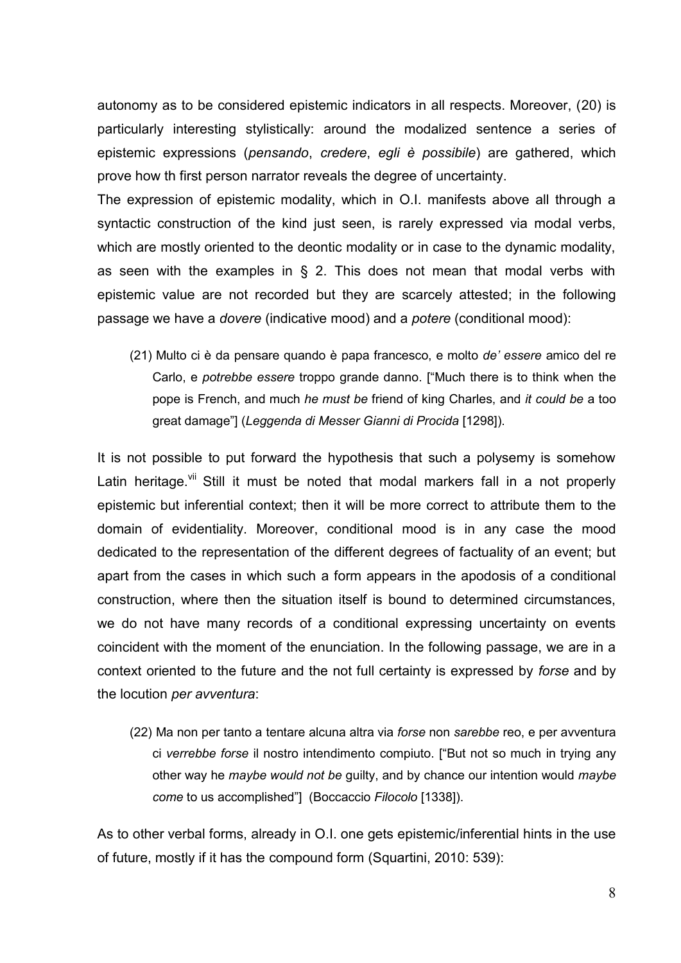autonomy as to be considered epistemic indicators in all respects. Moreover, (20) is particularly interesting stylistically: around the modalized sentence a series of epistemic expressions (*pensando*, *credere*, *egli è possibile*) are gathered, which prove how th first person narrator reveals the degree of uncertainty.

The expression of epistemic modality, which in O.I. manifests above all through a syntactic construction of the kind just seen, is rarely expressed via modal verbs, which are mostly oriented to the deontic modality or in case to the dynamic modality, as seen with the examples in  $\S$  2. This does not mean that modal verbs with epistemic value are not recorded but they are scarcely attested; in the following passage we have a *dovere* (indicative mood) and a *potere* (conditional mood):

(21) Multo ci è da pensare quando è papa francesco, e molto *de' essere* amico del re Carlo, e *potrebbe essere* troppo grande danno. ["Much there is to think when the pope is French, and much *he must be* friend of king Charles, and *it could be* a too great damage"] (*Leggenda di Messer Gianni di Procida* [1298]).

It is not possible to put forward the hypothesis that such a polysemy is somehow Latin heritage. <sup>Vii</sup> Still it must be noted that modal markers fall in a not properly epistemic but inferential context; then it will be more correct to attribute them to the domain of evidentiality. Moreover, conditional mood is in any case the mood dedicated to the representation of the different degrees of factuality of an event; but apart from the cases in which such a form appears in the apodosis of a conditional construction, where then the situation itself is bound to determined circumstances, we do not have many records of a conditional expressing uncertainty on events coincident with the moment of the enunciation. In the following passage, we are in a context oriented to the future and the not full certainty is expressed by *forse* and by the locution *per avventura*:

(22) Ma non per tanto a tentare alcuna altra via *forse* non *sarebbe* reo, e per avventura ci *verrebbe forse* il nostro intendimento compiuto. ["But not so much in trying any other way he *maybe would not be* guilty, and by chance our intention would *maybe come* to us accomplished"] (Boccaccio *Filocolo* [1338]).

As to other verbal forms, already in O.I. one gets epistemic/inferential hints in the use of future, mostly if it has the compound form (Squartini, 2010: 539):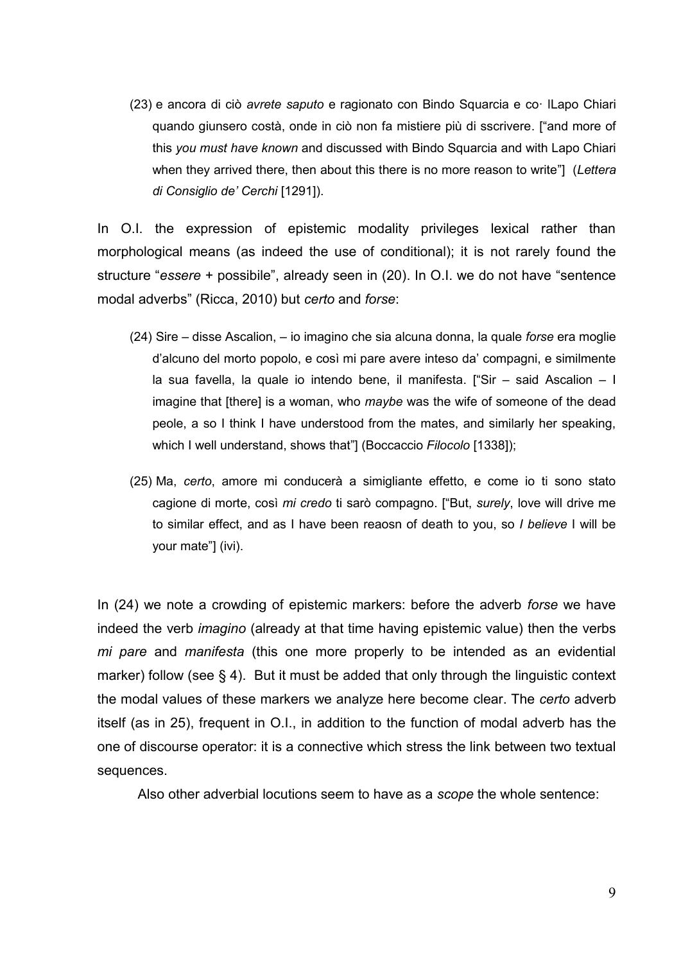(23) e ancora di ciò *avrete saputo* e ragionato con Bindo Squarcia e co· lLapo Chiari quando giunsero costà, onde in ciò non fa mistiere più di sscrivere. ["and more of this *you must have known* and discussed with Bindo Squarcia and with Lapo Chiari when they arrived there, then about this there is no more reason to write"] (*Lettera di Consiglio de' Cerchi* [1291]).

In O.I. the expression of epistemic modality privileges lexical rather than morphological means (as indeed the use of conditional); it is not rarely found the structure "*essere* + possibile", already seen in (20). In O.I. we do not have "sentence modal adverbs" (Ricca, 2010) but *certo* and *forse*:

- (24) Sire disse Ascalion, io imagino che sia alcuna donna, la quale *forse* era moglie d'alcuno del morto popolo, e così mi pare avere inteso da' compagni, e similmente la sua favella, la quale io intendo bene, il manifesta. ["Sir – said Ascalion – I imagine that [there] is a woman, who *maybe* was the wife of someone of the dead peole, a so I think I have understood from the mates, and similarly her speaking, which I well understand, shows that"] (Boccaccio *Filocolo* [1338]);
- (25) Ma, *certo*, amore mi conducerà a simigliante effetto, e come io ti sono stato cagione di morte, così *mi credo* ti sarò compagno. ["But, *surely*, love will drive me to similar effect, and as I have been reaosn of death to you, so *I believe* I will be your mate"] (ivi).

In (24) we note a crowding of epistemic markers: before the adverb *forse* we have indeed the verb *imagino* (already at that time having epistemic value) then the verbs *mi pare* and *manifesta* (this one more properly to be intended as an evidential marker) follow (see § 4). But it must be added that only through the linguistic context the modal values of these markers we analyze here become clear. The *certo* adverb itself (as in 25), frequent in O.I., in addition to the function of modal adverb has the one of discourse operator: it is a connective which stress the link between two textual sequences.

Also other adverbial locutions seem to have as a *scope* the whole sentence: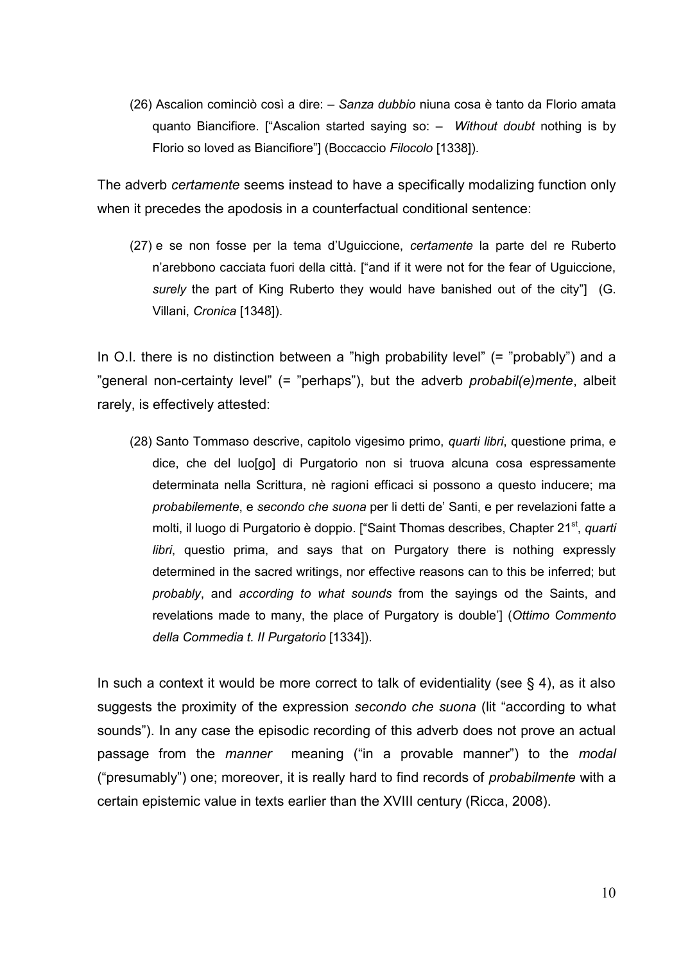(26) Ascalion cominciò così a dire: – *Sanza dubbio* niuna cosa è tanto da Florio amata quanto Biancifiore. ["Ascalion started saying so: – *Without doubt* nothing is by Florio so loved as Biancifiore"] (Boccaccio *Filocolo* [1338]).

The adverb *certamente* seems instead to have a specifically modalizing function only when it precedes the apodosis in a counterfactual conditional sentence:

(27) e se non fosse per la tema d'Uguiccione, *certamente* la parte del re Ruberto n'arebbono cacciata fuori della città. ["and if it were not for the fear of Uguiccione, *surely* the part of King Ruberto they would have banished out of the city"] (G. Villani, *Cronica* [1348]).

In O.I. there is no distinction between a "high probability level" (= "probably") and a "general non-certainty level" (= "perhaps"), but the adverb *probabil(e)mente*, albeit rarely, is effectively attested:

(28) Santo Tommaso descrive, capitolo vigesimo primo, *quarti libri*, questione prima, e dice, che del luo[go] di Purgatorio non si truova alcuna cosa espressamente determinata nella Scrittura, nè ragioni efficaci si possono a questo inducere; ma *probabilemente*, e *secondo che suona* per li detti de' Santi, e per revelazioni fatte a molti, il luogo di Purgatorio è doppio. ["Saint Thomas describes, Chapter 21<sup>st</sup>, quarti *libri*, questio prima, and says that on Purgatory there is nothing expressly determined in the sacred writings, nor effective reasons can to this be inferred; but *probably*, and *according to what sounds* from the sayings od the Saints, and revelations made to many, the place of Purgatory is double'] (*Ottimo Commento della Commedia t. II Purgatorio* [1334]).

In such a context it would be more correct to talk of evidentiality (see  $\S$  4), as it also suggests the proximity of the expression *secondo che suona* (lit "according to what sounds"). In any case the episodic recording of this adverb does not prove an actual passage from the *manner* meaning ("in a provable manner") to the *modal* ("presumably") one; moreover, it is really hard to find records of *probabilmente* with a certain epistemic value in texts earlier than the XVIII century (Ricca, 2008).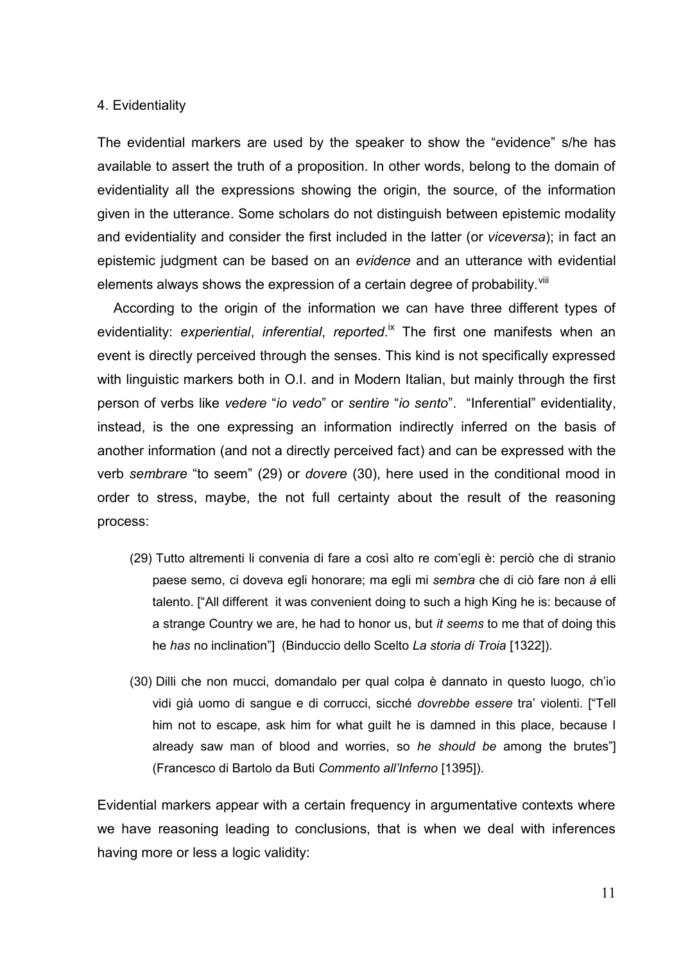#### 4. Evidentiality

The evidential markers are used by the speaker to show the "evidence" s/he has available to assert the truth of a proposition. In other words, belong to the domain of evidentiality all the expressions showing the origin, the source, of the information given in the utterance. Some scholars do not distinguish between epistemic modality and evidentiality and consider the first included in the latter (or *viceversa*); in fact an epistemic judgment can be based on an *evidence* and an utterance with evidential elements always shows the expression of a certain degree of probability. Vill

According to the origin of the information we can have three different types of evidentiality: experiential, inferential, reported.<sup>ix</sup> The first one manifests when an event is directly perceived through the senses. This kind is not specifically expressed with linguistic markers both in O.I. and in Modern Italian, but mainly through the first person of verbs like *vedere* "*io vedo*" or *sentire* "*io sento*". "Inferential" evidentiality, instead, is the one expressing an information indirectly inferred on the basis of another information (and not a directly perceived fact) and can be expressed with the verb *sembrare* "to seem" (29) or *dovere* (30), here used in the conditional mood in order to stress, maybe, the not full certainty about the result of the reasoning process:

- (29) Tutto altrementi li convenia di fare a così alto re com'egli è: perciò che di stranio paese semo, ci doveva egli honorare; ma egli mi *sembra* che di ciò fare non *à* elli talento. ["All different it was convenient doing to such a high King he is: because of a strange Country we are, he had to honor us, but *it seems* to me that of doing this he *has* no inclination"] (Binduccio dello Scelto *La storia di Troia* [1322]).
- (30) Dilli che non mucci, domandalo per qual colpa è dannato in questo luogo, ch'io vidi già uomo di sangue e di corrucci, sicché *dovrebbe essere* tra' violenti. ["Tell him not to escape, ask him for what guilt he is damned in this place, because I already saw man of blood and worries, so *he should be* among the brutes"] (Francesco di Bartolo da Buti *Commento all'Inferno* [1395]).

Evidential markers appear with a certain frequency in argumentative contexts where we have reasoning leading to conclusions, that is when we deal with inferences having more or less a logic validity: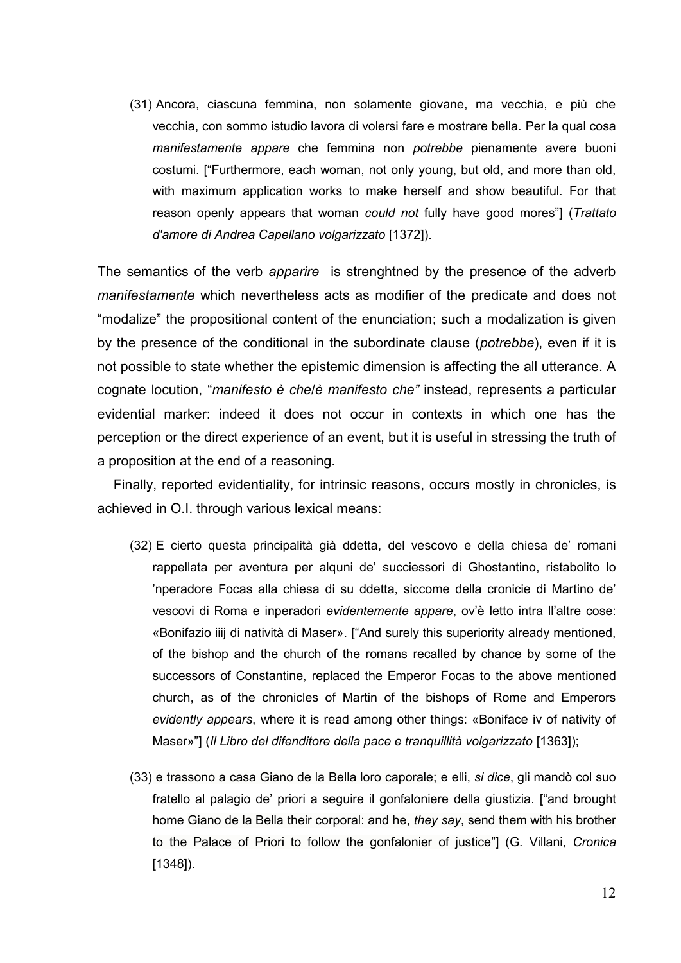(31) Ancora, ciascuna femmina, non solamente giovane, ma vecchia, e più che vecchia, con sommo istudio lavora di volersi fare e mostrare bella. Per la qual cosa *manifestamente appare* che femmina non *potrebbe* pienamente avere buoni costumi. ["Furthermore, each woman, not only young, but old, and more than old, with maximum application works to make herself and show beautiful. For that reason openly appears that woman *could not* fully have good mores"] (*Trattato d'amore di Andrea Capellano volgarizzato* [1372]).

The semantics of the verb *apparire* is strenghtned by the presence of the adverb *manifestamente* which nevertheless acts as modifier of the predicate and does not "modalize" the propositional content of the enunciation; such a modalization is given by the presence of the conditional in the subordinate clause (*potrebbe*), even if it is not possible to state whether the epistemic dimension is affecting the all utterance. A cognate locution, "*manifesto è che*/*è manifesto che"* instead, represents a particular evidential marker: indeed it does not occur in contexts in which one has the perception or the direct experience of an event, but it is useful in stressing the truth of a proposition at the end of a reasoning.

Finally, reported evidentiality, for intrinsic reasons, occurs mostly in chronicles, is achieved in O.I. through various lexical means:

- (32) E cierto questa principalità già ddetta, del vescovo e della chiesa de' romani rappellata per aventura per alquni de' succiessori di Ghostantino, ristabolito lo 'nperadore Focas alla chiesa di su ddetta, siccome della cronicie di Martino de' vescovi di Roma e inperadori *evidentemente appare*, ov'è letto intra ll'altre cose: «Bonifazio iiij di natività di Maser». ["And surely this superiority already mentioned, of the bishop and the church of the romans recalled by chance by some of the successors of Constantine, replaced the Emperor Focas to the above mentioned church, as of the chronicles of Martin of the bishops of Rome and Emperors *evidently appears*, where it is read among other things: «Boniface iv of nativity of Maser»"] (*Il Libro del difenditore della pace e tranquillità volgarizzato* [1363]);
- (33) e trassono a casa Giano de la Bella loro caporale; e elli, *si dice*, gli mandò col suo fratello al palagio de' priori a seguire il gonfaloniere della giustizia. ["and brought home Giano de la Bella their corporal: and he, *they say*, send them with his brother to the Palace of Priori to follow the gonfalonier of justice"] (G. Villani, *Cronica*  [1348]).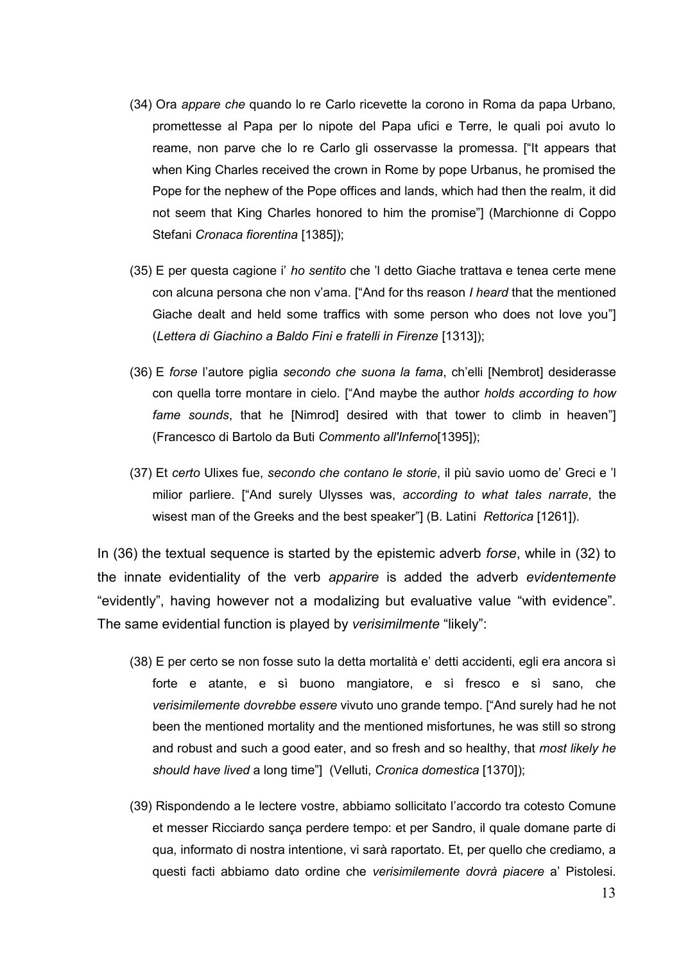- (34) Ora *appare che* quando lo re Carlo ricevette la corono in Roma da papa Urbano, promettesse al Papa per lo nipote del Papa ufici e Terre, le quali poi avuto lo reame, non parve che lo re Carlo gli osservasse la promessa. ["It appears that when King Charles received the crown in Rome by pope Urbanus, he promised the Pope for the nephew of the Pope offices and lands, which had then the realm, it did not seem that King Charles honored to him the promise"] (Marchionne di Coppo Stefani *Cronaca fiorentina* [1385]);
- (35) E per questa cagione i' *ho sentito* che 'l detto Giache trattava e tenea certe mene con alcuna persona che non v'ama. ["And for ths reason *I heard* that the mentioned Giache dealt and held some traffics with some person who does not love you"] (*Lettera di Giachino a Baldo Fini e fratelli in Firenze* [1313]);
- (36) E *forse* l'autore piglia *secondo che suona la fama*, ch'elli [Nembrot] desiderasse con quella torre montare in cielo. ["And maybe the author *holds according to how fame sounds*, that he [Nimrod] desired with that tower to climb in heaven"] (Francesco di Bartolo da Buti *Commento all'Inferno*[1395]);
- (37) Et *certo* Ulixes fue, *secondo che contano le storie*, il più savio uomo de' Greci e 'l milior parliere. ["And surely Ulysses was, *according to what tales narrate*, the wisest man of the Greeks and the best speaker"] (B. Latini *Rettorica* [1261]).

In (36) the textual sequence is started by the epistemic adverb *forse*, while in (32) to the innate evidentiality of the verb *apparire* is added the adverb *evidentemente* "evidently", having however not a modalizing but evaluative value "with evidence". The same evidential function is played by *verisimilmente* "likely":

- (38) E per certo se non fosse suto la detta mortalità e' detti accidenti, egli era ancora sì forte e atante, e sì buono mangiatore, e sì fresco e sì sano, che *verisimilemente dovrebbe essere* vivuto uno grande tempo. ["And surely had he not been the mentioned mortality and the mentioned misfortunes, he was still so strong and robust and such a good eater, and so fresh and so healthy, that *most likely he should have lived* a long time"] (Velluti, *Cronica domestica* [1370]);
- (39) Rispondendo a le lectere vostre, abbiamo sollicitato l'accordo tra cotesto Comune et messer Ricciardo sança perdere tempo: et per Sandro, il quale domane parte di qua, informato di nostra intentione, vi sarà raportato. Et, per quello che crediamo, a questi facti abbiamo dato ordine che *verisimilemente dovrà piacere* a' Pistolesi.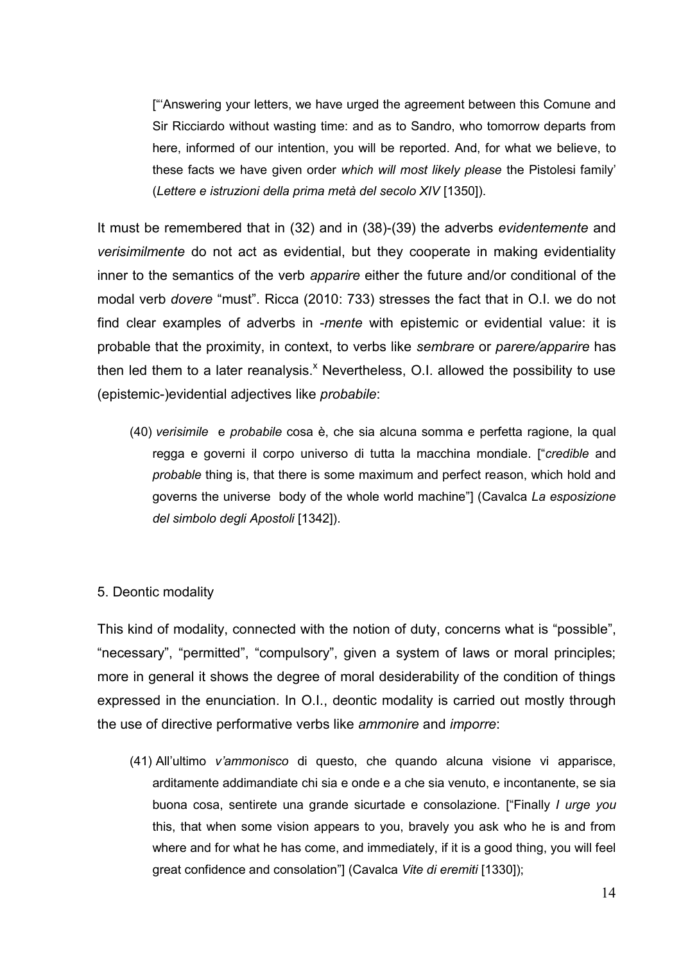["'Answering your letters, we have urged the agreement between this Comune and Sir Ricciardo without wasting time: and as to Sandro, who tomorrow departs from here, informed of our intention, you will be reported. And, for what we believe, to these facts we have given order *which will most likely please* the Pistolesi family' (*Lettere e istruzioni della prima metà del secolo XIV* [1350]).

It must be remembered that in (32) and in (38)-(39) the adverbs *evidentemente* and *verisimilmente* do not act as evidential, but they cooperate in making evidentiality inner to the semantics of the verb *apparire* either the future and/or conditional of the modal verb *dovere* "must". Ricca (2010: 733) stresses the fact that in O.I. we do not find clear examples of adverbs in -*mente* with epistemic or evidential value: it is probable that the proximity, in context, to verbs like *sembrare* or *parere/apparire* has then led them to a later reanalysis.<sup>x</sup> Nevertheless, O.I. allowed the possibility to use (epistemic-)evidential adjectives like *probabile*:

(40) *verisimile* e *probabile* cosa è, che sia alcuna somma e perfetta ragione, la qual regga e governi il corpo universo di tutta la macchina mondiale. ["*credible* and *probable* thing is, that there is some maximum and perfect reason, which hold and governs the universe body of the whole world machine"] (Cavalca *La esposizione del simbolo degli Apostoli* [1342]).

### 5. Deontic modality

This kind of modality, connected with the notion of duty, concerns what is "possible", "necessary", "permitted", "compulsory", given a system of laws or moral principles; more in general it shows the degree of moral desiderability of the condition of things expressed in the enunciation. In O.I., deontic modality is carried out mostly through the use of directive performative verbs like *ammonire* and *imporre*:

(41) All'ultimo *v'ammonisco* di questo, che quando alcuna visione vi apparisce, arditamente addimandiate chi sia e onde e a che sia venuto, e incontanente, se sia buona cosa, sentirete una grande sicurtade e consolazione. ["Finally *I urge you* this, that when some vision appears to you, bravely you ask who he is and from where and for what he has come, and immediately, if it is a good thing, you will feel great confidence and consolation"] (Cavalca *Vite di eremiti* [1330]);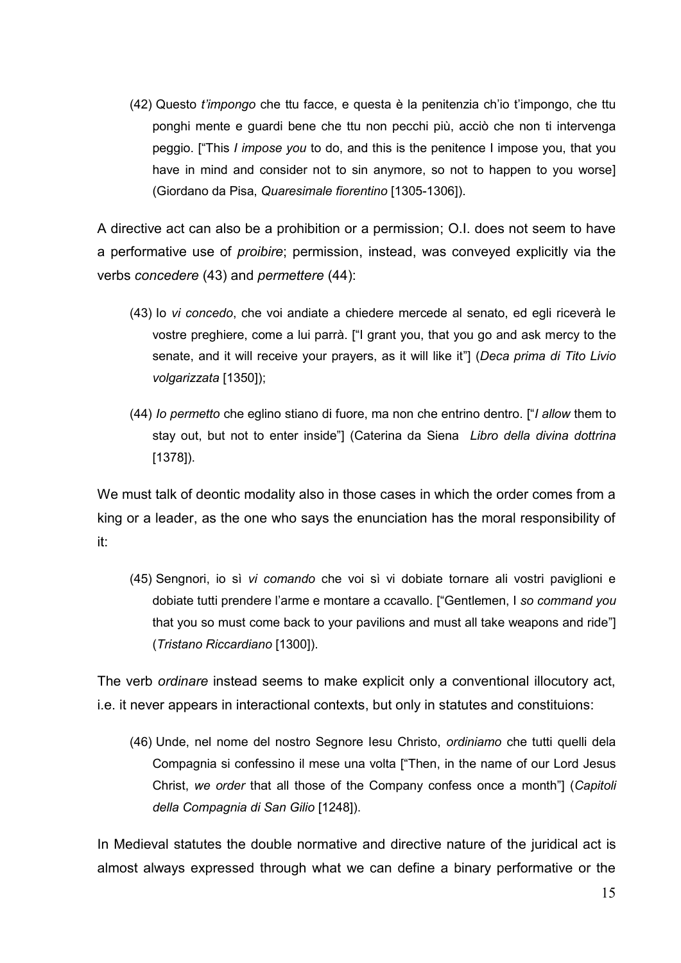(42) Questo *t'impongo* che ttu facce, e questa è la penitenzia ch'io t'impongo, che ttu ponghi mente e guardi bene che ttu non pecchi più, acciò che non ti intervenga peggio. ["This *I impose you* to do, and this is the penitence I impose you, that you have in mind and consider not to sin anymore, so not to happen to you worse] (Giordano da Pisa, *Quaresimale fiorentino* [1305-1306]).

A directive act can also be a prohibition or a permission; O.I. does not seem to have a performative use of *proibire*; permission, instead, was conveyed explicitly via the verbs *concedere* (43) and *permettere* (44):

- (43) Io *vi concedo*, che voi andiate a chiedere mercede al senato, ed egli riceverà le vostre preghiere, come a lui parrà. ["I grant you, that you go and ask mercy to the senate, and it will receive your prayers, as it will like it"] (*Deca prima di Tito Livio volgarizzata* [1350]);
- (44) *Io permetto* che eglino stiano di fuore, ma non che entrino dentro. ["*I allow* them to stay out, but not to enter inside"] (Caterina da Siena *Libro della divina dottrina*  [1378]).

We must talk of deontic modality also in those cases in which the order comes from a king or a leader, as the one who says the enunciation has the moral responsibility of it:

(45) Sengnori, io sì *vi comando* che voi sì vi dobiate tornare ali vostri paviglioni e dobiate tutti prendere l'arme e montare a ccavallo. ["Gentlemen, I *so command you* that you so must come back to your pavilions and must all take weapons and ride"] (*Tristano Riccardiano* [1300]).

The verb *ordinare* instead seems to make explicit only a conventional illocutory act, i.e. it never appears in interactional contexts, but only in statutes and constituions:

(46) Unde, nel nome del nostro Segnore Iesu Christo, *ordiniamo* che tutti quelli dela Compagnia si confessino il mese una volta ["Then, in the name of our Lord Jesus Christ, *we order* that all those of the Company confess once a month"] (*Capitoli della Compagnia di San Gilio* [1248]).

In Medieval statutes the double normative and directive nature of the juridical act is almost always expressed through what we can define a binary performative or the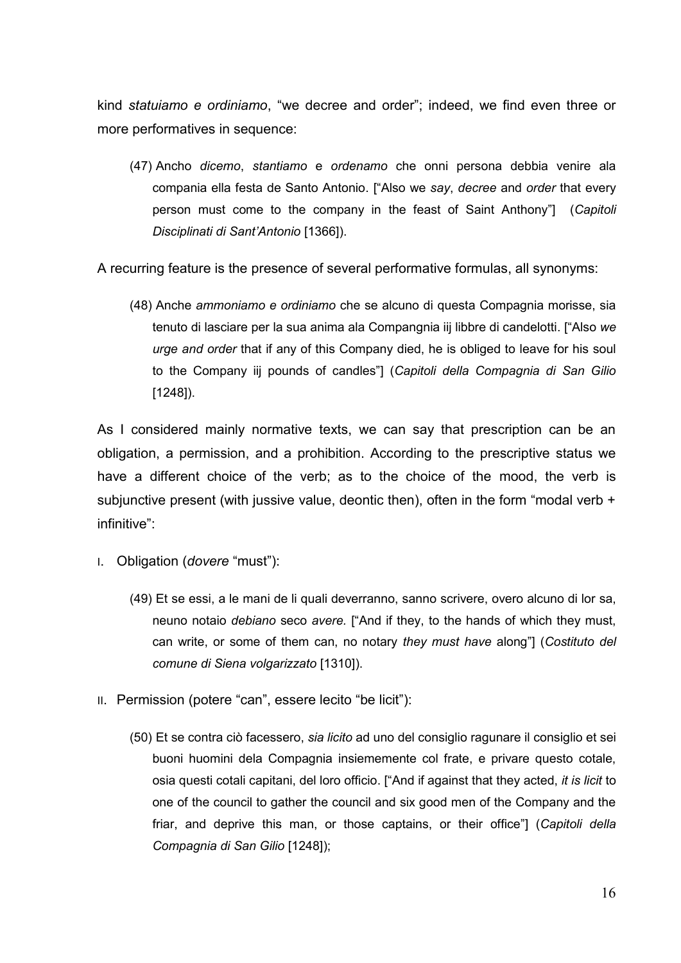kind *statuiamo e ordiniamo*, "we decree and order"; indeed, we find even three or more performatives in sequence:

(47) Ancho *dicemo*, *stantiamo* e *ordenamo* che onni persona debbia venire ala compania ella festa de Santo Antonio. ["Also we *say*, *decree* and *order* that every person must come to the company in the feast of Saint Anthony"] (*Capitoli Disciplinati di Sant'Antonio* [1366]).

A recurring feature is the presence of several performative formulas, all synonyms:

(48) Anche *ammoniamo e ordiniamo* che se alcuno di questa Compagnia morisse, sia tenuto di lasciare per la sua anima ala Compangnia iij libbre di candelotti. ["Also *we urge and order* that if any of this Company died, he is obliged to leave for his soul to the Company iij pounds of candles"] (*Capitoli della Compagnia di San Gilio*  [1248]).

As I considered mainly normative texts, we can say that prescription can be an obligation, a permission, and a prohibition. According to the prescriptive status we have a different choice of the verb; as to the choice of the mood, the verb is subjunctive present (with jussive value, deontic then), often in the form "modal verb  $+$ infinitive":

- I. Obligation (*dovere* "must"):
	- (49) Et se essi, a le mani de li quali deverranno, sanno scrivere, overo alcuno di lor sa, neuno notaio *debiano* seco *avere.* ["And if they, to the hands of which they must, can write, or some of them can, no notary *they must have* along"] (*Costituto del comune di Siena volgarizzato* [1310]).
- II. Permission (potere "can", essere lecito "be licit"):
	- (50) Et se contra ciò facessero, *sia licito* ad uno del consiglio ragunare il consiglio et sei buoni huomini dela Compagnia insiememente col frate, e privare questo cotale, osia questi cotali capitani, del loro officio. ["And if against that they acted, *it is licit* to one of the council to gather the council and six good men of the Company and the friar, and deprive this man, or those captains, or their office"] (*Capitoli della Compagnia di San Gilio* [1248]);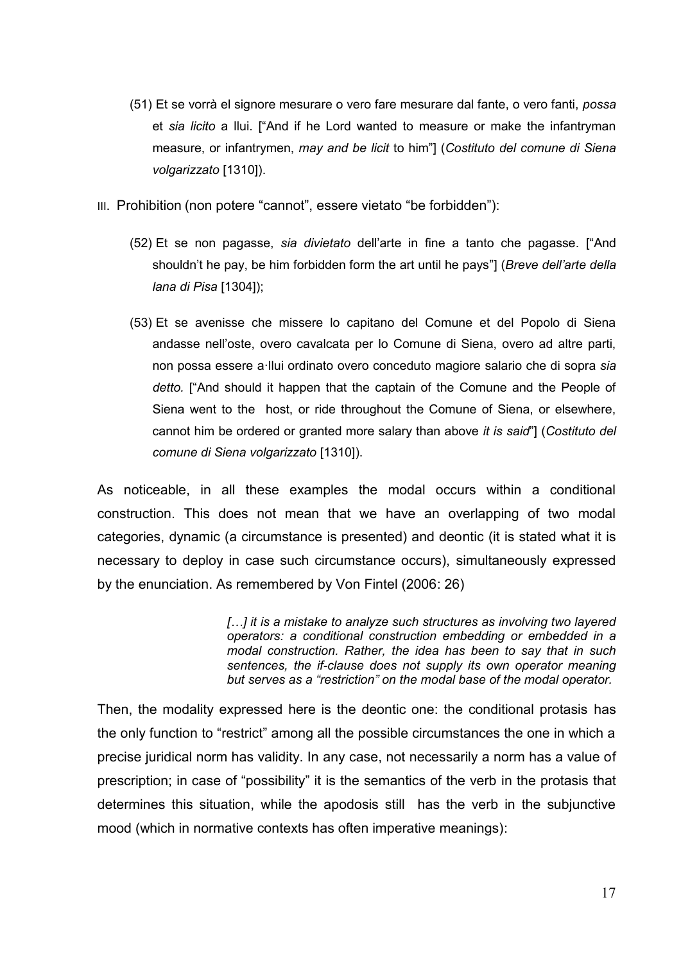- (51) Et se vorrà el signore mesurare o vero fare mesurare dal fante, o vero fanti, *possa* et *sia licito* a llui. ["And if he Lord wanted to measure or make the infantryman measure, or infantrymen, *may and be licit* to him"] (*Costituto del comune di Siena volgarizzato* [1310]).
- III. Prohibition (non potere "cannot", essere vietato "be forbidden"):
	- (52) Et se non pagasse, *sia divietato* dell'arte in fine a tanto che pagasse. ["And shouldn't he pay, be him forbidden form the art until he pays"] (*Breve dell'arte della lana di Pisa* [1304]);
	- (53) Et se avenisse che missere lo capitano del Comune et del Popolo di Siena andasse nell'oste, overo cavalcata per lo Comune di Siena, overo ad altre parti, non possa essere a·llui ordinato overo conceduto magiore salario che di sopra *sia detto.* ["And should it happen that the captain of the Comune and the People of Siena went to the host, or ride throughout the Comune of Siena, or elsewhere, cannot him be ordered or granted more salary than above *it is said*"] (*Costituto del comune di Siena volgarizzato* [1310]).

As noticeable, in all these examples the modal occurs within a conditional construction. This does not mean that we have an overlapping of two modal categories, dynamic (a circumstance is presented) and deontic (it is stated what it is necessary to deploy in case such circumstance occurs), simultaneously expressed by the enunciation. As remembered by Von Fintel (2006: 26)

> *[…] it is a mistake to analyze such structures as involving two layered operators: a conditional construction embedding or embedded in a modal construction. Rather, the idea has been to say that in such sentences, the if-clause does not supply its own operator meaning but serves as a "restriction" on the modal base of the modal operator.*

Then, the modality expressed here is the deontic one: the conditional protasis has the only function to "restrict" among all the possible circumstances the one in which a precise juridical norm has validity. In any case, not necessarily a norm has a value of prescription; in case of "possibility" it is the semantics of the verb in the protasis that determines this situation, while the apodosis still has the verb in the subjunctive mood (which in normative contexts has often imperative meanings):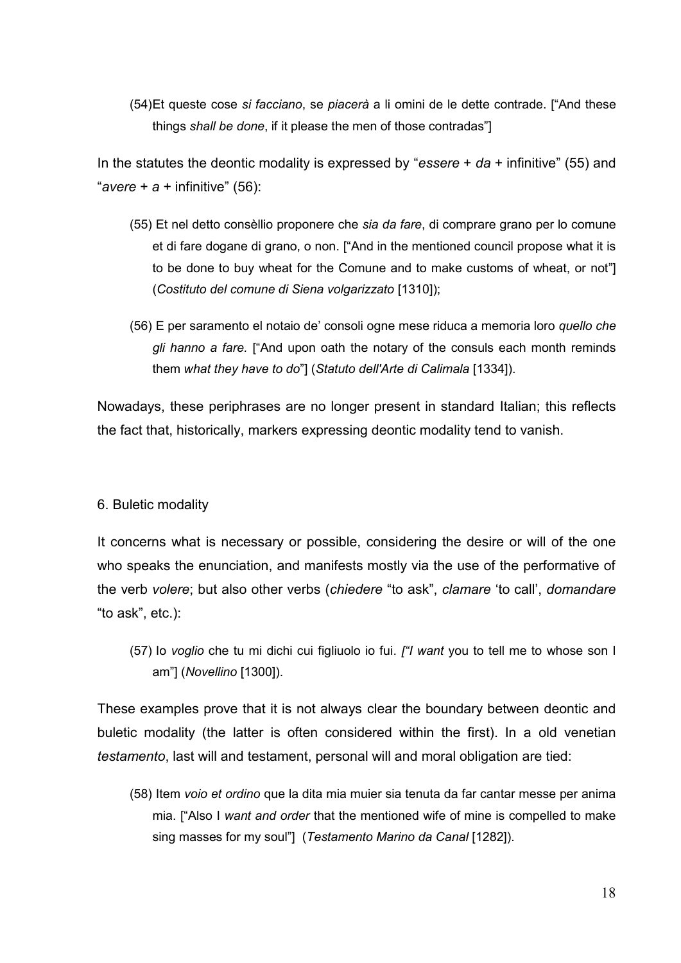(54)Et queste cose *si facciano*, se *piacerà* a li omini de le dette contrade. ["And these things *shall be done*, if it please the men of those contradas"]

In the statutes the deontic modality is expressed by "*essere* + *da* + infinitive" (55) and "*avere* + *a* + infinitive" (56):

- (55) Et nel detto consèllio proponere che *sia da fare*, di comprare grano per lo comune et di fare dogane di grano, o non. ["And in the mentioned council propose what it is to be done to buy wheat for the Comune and to make customs of wheat, or not"] (*Costituto del comune di Siena volgarizzato* [1310]);
- (56) E per saramento el notaio de' consoli ogne mese riduca a memoria loro *quello che gli hanno a fare.* ["And upon oath the notary of the consuls each month reminds them *what they have to do*"] (*Statuto dell'Arte di Calimala* [1334]).

Nowadays, these periphrases are no longer present in standard Italian; this reflects the fact that, historically, markers expressing deontic modality tend to vanish.

### 6. Buletic modality

It concerns what is necessary or possible, considering the desire or will of the one who speaks the enunciation, and manifests mostly via the use of the performative of the verb *volere*; but also other verbs (*chiedere* "to ask", *clamare* 'to call', *domandare* "to ask", etc.):

(57) Io *voglio* che tu mi dichi cui figliuolo io fui. *["I want* you to tell me to whose son I am"] (*Novellino* [1300]).

These examples prove that it is not always clear the boundary between deontic and buletic modality (the latter is often considered within the first). In a old venetian *testamento*, last will and testament, personal will and moral obligation are tied:

(58) Item *voio et ordino* que la dita mia muier sia tenuta da far cantar messe per anima mia. ["Also I *want and order* that the mentioned wife of mine is compelled to make sing masses for my soul"] (*Testamento Marino da Canal* [1282]).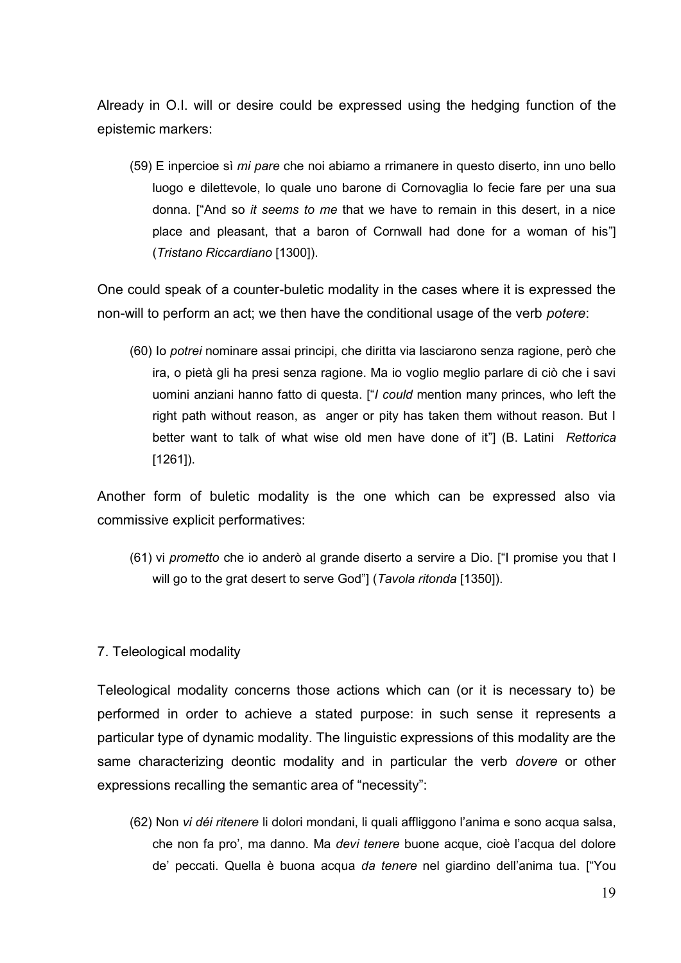Already in O.I. will or desire could be expressed using the hedging function of the epistemic markers:

(59) E inpercioe sì *mi pare* che noi abiamo a rrimanere in questo diserto, inn uno bello luogo e dilettevole, lo quale uno barone di Cornovaglia lo fecie fare per una sua donna. ["And so *it seems to me* that we have to remain in this desert, in a nice place and pleasant, that a baron of Cornwall had done for a woman of his"] (*Tristano Riccardiano* [1300]).

One could speak of a counter-buletic modality in the cases where it is expressed the non-will to perform an act; we then have the conditional usage of the verb *potere*:

(60) Io *potrei* nominare assai principi, che diritta via lasciarono senza ragione, però che ira, o pietà gli ha presi senza ragione. Ma io voglio meglio parlare di ciò che i savi uomini anziani hanno fatto di questa. ["*I could* mention many princes, who left the right path without reason, as anger or pity has taken them without reason. But I better want to talk of what wise old men have done of it"] (B. Latini *Rettorica* [1261]).

Another form of buletic modality is the one which can be expressed also via commissive explicit performatives:

(61) vi *prometto* che io anderò al grande diserto a servire a Dio. ["I promise you that I will go to the grat desert to serve God"] (*Tavola ritonda* [1350]).

# 7. Teleological modality

Teleological modality concerns those actions which can (or it is necessary to) be performed in order to achieve a stated purpose: in such sense it represents a particular type of dynamic modality. The linguistic expressions of this modality are the same characterizing deontic modality and in particular the verb *dovere* or other expressions recalling the semantic area of "necessity":

(62) Non *vi déi ritenere* li dolori mondani, li quali affliggono l'anima e sono acqua salsa, che non fa pro', ma danno. Ma *devi tenere* buone acque, cioè l'acqua del dolore de' peccati. Quella è buona acqua *da tenere* nel giardino dell'anima tua. ["You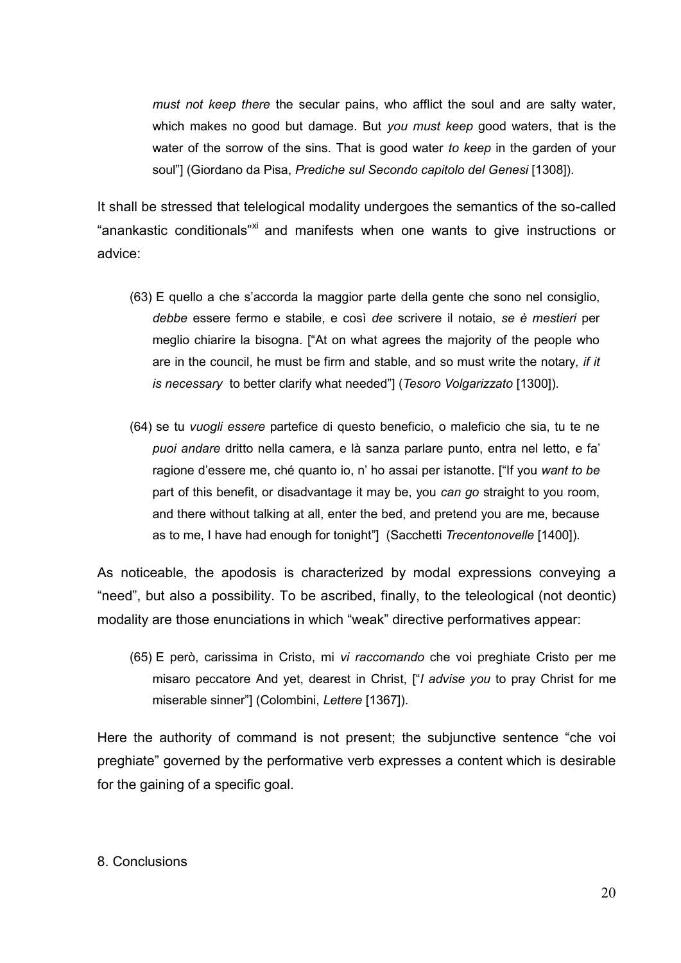*must not keep there* the secular pains, who afflict the soul and are salty water, which makes no good but damage. But *you must keep* good waters, that is the water of the sorrow of the sins. That is good water *to keep* in the garden of your soul"] (Giordano da Pisa, *Prediche sul Secondo capitolo del Genesi* [1308]).

It shall be stressed that telelogical modality undergoes the semantics of the so-called "anankastic conditionals"<sup>xi</sup> and manifests when one wants to give instructions or advice:

- (63) E quello a che s'accorda la maggior parte della gente che sono nel consiglio, *debbe* essere fermo e stabile, e così *dee* scrivere il notaio, *se è mestieri* per meglio chiarire la bisogna. ["At on what agrees the majority of the people who are in the council, he must be firm and stable, and so must write the notary*, if it is necessary* to better clarify what needed"] (*Tesoro Volgarizzato* [1300]).
- (64) se tu *vuogli essere* partefice di questo beneficio, o maleficio che sia, tu te ne *puoi andare* dritto nella camera, e là sanza parlare punto, entra nel letto, e fa' ragione d'essere me, ché quanto io, n' ho assai per istanotte. ["If you *want to be* part of this benefit, or disadvantage it may be, you *can go* straight to you room, and there without talking at all, enter the bed, and pretend you are me, because as to me, I have had enough for tonight"] (Sacchetti *Trecentonovelle* [1400]).

As noticeable, the apodosis is characterized by modal expressions conveying a "need", but also a possibility. To be ascribed, finally, to the teleological (not deontic) modality are those enunciations in which "weak" directive performatives appear:

(65) E però, carissima in Cristo, mi *vi raccomando* che voi preghiate Cristo per me misaro peccatore And yet, dearest in Christ, ["*I advise you* to pray Christ for me miserable sinner"] (Colombini, *Lettere* [1367]).

Here the authority of command is not present; the subjunctive sentence "che voi preghiate" governed by the performative verb expresses a content which is desirable for the gaining of a specific goal.

### 8. Conclusions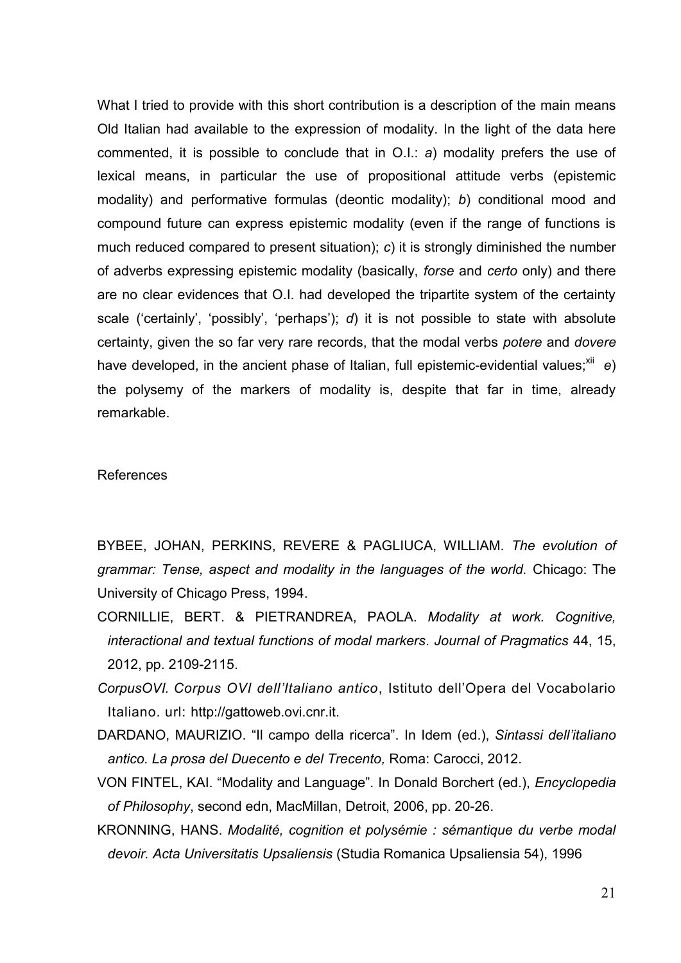What I tried to provide with this short contribution is a description of the main means Old Italian had available to the expression of modality. In the light of the data here commented, it is possible to conclude that in O.I.: *a*) modality prefers the use of lexical means, in particular the use of propositional attitude verbs (epistemic modality) and performative formulas (deontic modality); *b*) conditional mood and compound future can express epistemic modality (even if the range of functions is much reduced compared to present situation); *c*) it is strongly diminished the number of adverbs expressing epistemic modality (basically, *forse* and *certo* only) and there are no clear evidences that O.I. had developed the tripartite system of the certainty scale ('certainly', 'possibly', 'perhaps'); *d*) it is not possible to state with absolute certainty, given the so far very rare records, that the modal verbs *potere* and *dovere* have developed, in the ancient phase of Italian, full epistemic-evidential values;<sup>xii</sup> e) the polysemy of the markers of modality is, despite that far in time, already remarkable.

#### References

BYBEE, JOHAN, PERKINS, REVERE & PAGLIUCA, WILLIAM. *The evolution of grammar: Tense, aspect and modality in the languages of the world.* Chicago: The University of Chicago Press, 1994.

CORNILLIE, BERT. & PIETRANDREA, PAOLA. *Modality at work. Cognitive, interactional and textual functions of modal markers*. *Journal of Pragmatics* 44, 15, 2012, pp. 2109-2115.

- *CorpusOVI. Corpus OVI dell'Italiano antico*, Istituto dell'Opera del Vocabolario Italiano. url: http://gattoweb.ovi.cnr.it.
- DARDANO, MAURIZIO. "Il campo della ricerca". In Idem (ed.), *Sintassi dell'italiano antico. La prosa del Duecento e del Trecento,* Roma: Carocci, 2012.

VON FINTEL, KAI. "Modality and Language". In Donald Borchert (ed.), *Encyclopedia of Philosophy*, second edn, MacMillan, Detroit, 2006, pp. 20-26.

KRONNING, HANS. *Modalité, cognition et polysémie : sémantique du verbe modal devoir. Acta Universitatis Upsaliensis* (Studia Romanica Upsaliensia 54), 1996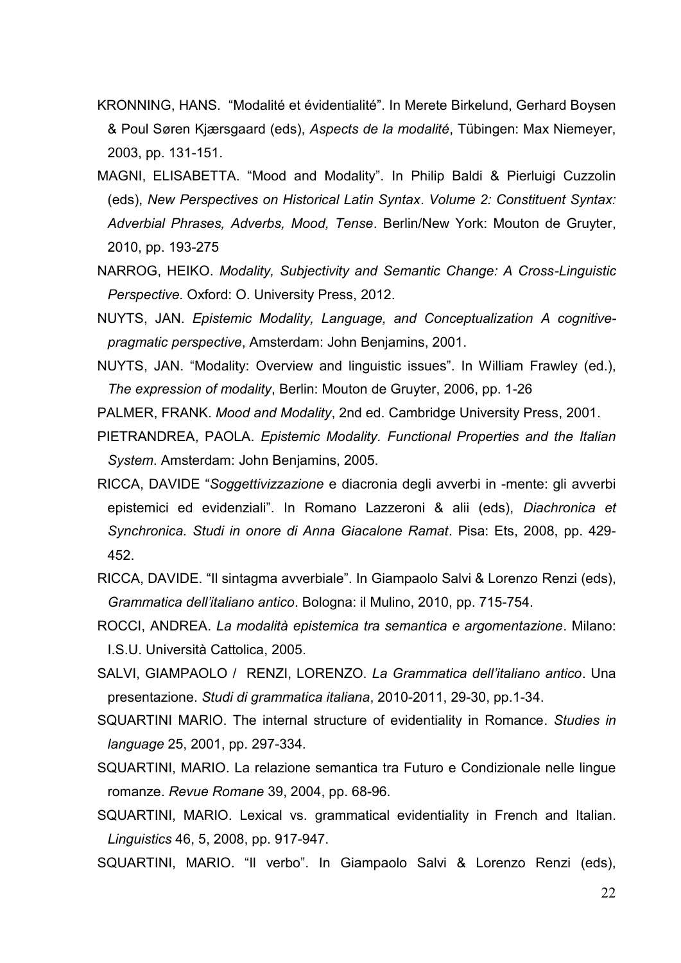- KRONNING, HANS. "Modalité et évidentialité". In Merete Birkelund, Gerhard Boysen & Poul Søren Kjærsgaard (eds), *Aspects de la modalité*, Tübingen: Max Niemeyer, 2003, pp. 131-151.
- MAGNI, ELISABETTA. "Mood and Modality". In Philip Baldi & Pierluigi Cuzzolin (eds), *New Perspectives on Historical Latin Syntax*. *Volume 2: Constituent Syntax: Adverbial Phrases, Adverbs, Mood, Tense*. Berlin/New York: Mouton de Gruyter, 2010, pp. 193-275
- NARROG, HEIKO. *Modality, Subjectivity and Semantic Change: A Cross-Linguistic Perspective*. Oxford: O. University Press, 2012.
- NUYTS, JAN. *Epistemic Modality, Language, and Conceptualization A cognitivepragmatic perspective*, Amsterdam: John Benjamins, 2001.
- NUYTS, JAN. "Modality: Overview and linguistic issues". In William Frawley (ed.), *The expression of modality*, Berlin: Mouton de Gruyter, 2006, pp. 1-26
- PALMER, FRANK. *Mood and Modality*, 2nd ed. Cambridge University Press, 2001.
- PIETRANDREA, PAOLA. *Epistemic Modality. Functional Properties and the Italian System*. Amsterdam: John Benjamins, 2005.
- RICCA, DAVIDE "*Soggettivizzazione* e diacronia degli avverbi in -mente: gli avverbi epistemici ed evidenziali". In Romano Lazzeroni & alii (eds), *Diachronica et Synchronica. Studi in onore di Anna Giacalone Ramat*. Pisa: Ets, 2008, pp. 429- 452.
- RICCA, DAVIDE. "Il sintagma avverbiale". In Giampaolo Salvi & Lorenzo Renzi (eds), *Grammatica dell'italiano antico*. Bologna: il Mulino, 2010, pp. 715-754.
- ROCCI, ANDREA. *La modalità epistemica tra semantica e argomentazione*. Milano: I.S.U. Università Cattolica, 2005.
- SALVI, GIAMPAOLO / RENZI, LORENZO. *La Grammatica dell'italiano antico*. Una presentazione. *Studi di grammatica italiana*, 2010-2011, 29-30, pp.1-34.
- SQUARTINI MARIO. The internal structure of evidentiality in Romance. *Studies in language* 25, 2001, pp. 297-334.
- SQUARTINI, MARIO. La relazione semantica tra Futuro e Condizionale nelle lingue romanze. *Revue Romane* 39, 2004, pp. 68-96.
- SQUARTINI, MARIO. Lexical vs. grammatical evidentiality in French and Italian. *Linguistics* 46, 5, 2008, pp. 917-947.
- SQUARTINI, MARIO. "Il verbo". In Giampaolo Salvi & Lorenzo Renzi (eds),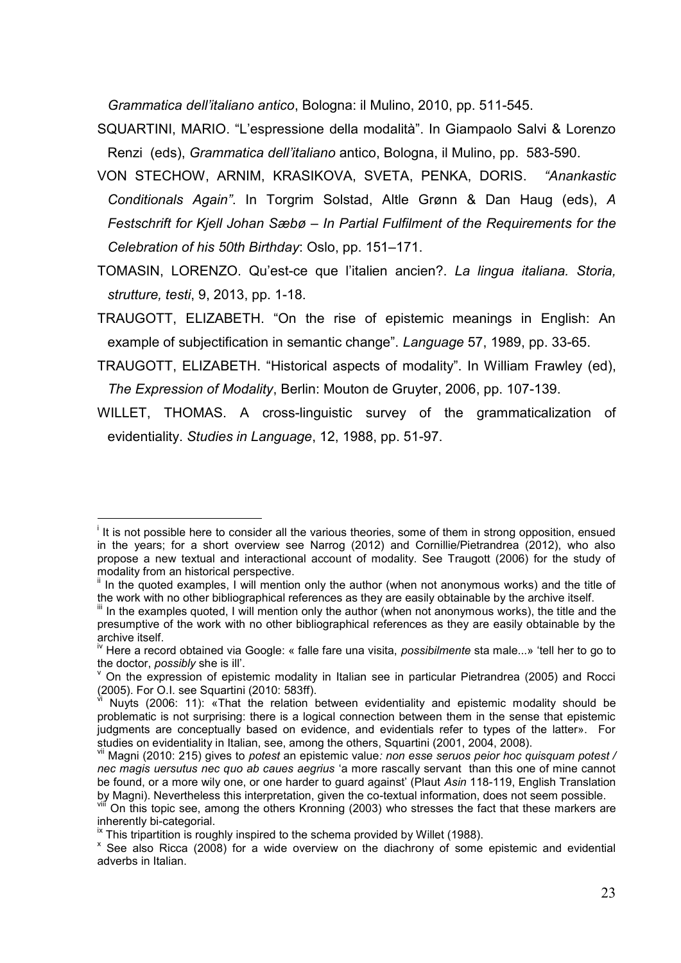*Grammatica dell'italiano antico*, Bologna: il Mulino, 2010, pp. 511-545.

- SQUARTINI, MARIO. "L'espressione della modalità". In Giampaolo Salvi & Lorenzo Renzi (eds), *Grammatica dell'italiano* antico, Bologna, il Mulino, pp. 583-590.
- VON STECHOW, ARNIM, KRASIKOVA, SVETA, PENKA, DORIS. *"Anankastic Conditionals Again"*. In Torgrim Solstad, Altle Grønn & Dan Haug (eds), *A Festschrift for Kjell Johan Sæbø – In Partial Fulfilment of the Requirements for the Celebration of his 50th Birthday*: Oslo, pp. 151–171.
- TOMASIN, LORENZO. Qu'est-ce que l'italien ancien?. *La lingua italiana. Storia, strutture, testi*, 9, 2013, pp. 1-18.
- TRAUGOTT, ELIZABETH. "On the rise of epistemic meanings in English: An example of subjectification in semantic change". *Language* 57, 1989, pp. 33-65.
- TRAUGOTT, ELIZABETH. "Historical aspects of modality". In William Frawley (ed), *The Expression of Modality*, Berlin: Mouton de Gruyter, 2006, pp. 107-139.
- WILLET, THOMAS. A cross-linguistic survey of the grammaticalization of evidentiality. *Studies in Language*, 12, 1988, pp. 51-97.

 $\frac{1}{2}$ 

<sup>&</sup>lt;sup>i</sup> It is not possible here to consider all the various theories, some of them in strong opposition, ensued in the years; for a short overview see Narrog (2012) and Cornillie/Pietrandrea (2012), who also propose a new textual and interactional account of modality. See Traugott (2006) for the study of modality from an historical perspective.

<sup>&</sup>lt;sup>ii</sup> In the quoted examples, I will mention only the author (when not anonymous works) and the title of the work with no other bibliographical references as they are easily obtainable by the archive itself.

III In the examples quoted, I will mention only the author (when not anonymous works), the title and the presumptive of the work with no other bibliographical references as they are easily obtainable by the archive itself.

iv Here a record obtained via Google: « falle fare una visita, *possibilmente* sta male...» 'tell her to go to the doctor, *possibly* she is ill'.

On the expression of epistemic modality in Italian see in particular Pietrandrea (2005) and Rocci (2005). For O.I. see Squartini (2010: 583ff).

vi Nuyts (2006: 11): «That the relation between evidentiality and epistemic modality should be problematic is not surprising: there is a logical connection between them in the sense that epistemic judgments are conceptually based on evidence, and evidentials refer to types of the latter». For studies on evidentiality in Italian, see, among the others, Squartini (2001, 2004, 2008).

vii Magni (2010: 215) gives to *potest* an epistemic value*: non esse seruos peior hoc quisquam potest / nec magis uersutus nec quo ab caues aegrius* 'a more rascally servant than this one of mine cannot be found, or a more wily one, or one harder to guard against' (Plaut *Asin* 118-119, English Translation by Magni). Nevertheless this interpretation, given the co-textual information, does not seem possible.

On this topic see, among the others Kronning (2003) who stresses the fact that these markers are inherently bi-categorial.

 $\frac{1}{x}$  This tripartition is roughly inspired to the schema provided by Willet (1988).

x See also Ricca (2008) for a wide overview on the diachrony of some epistemic and evidential adverbs in Italian.